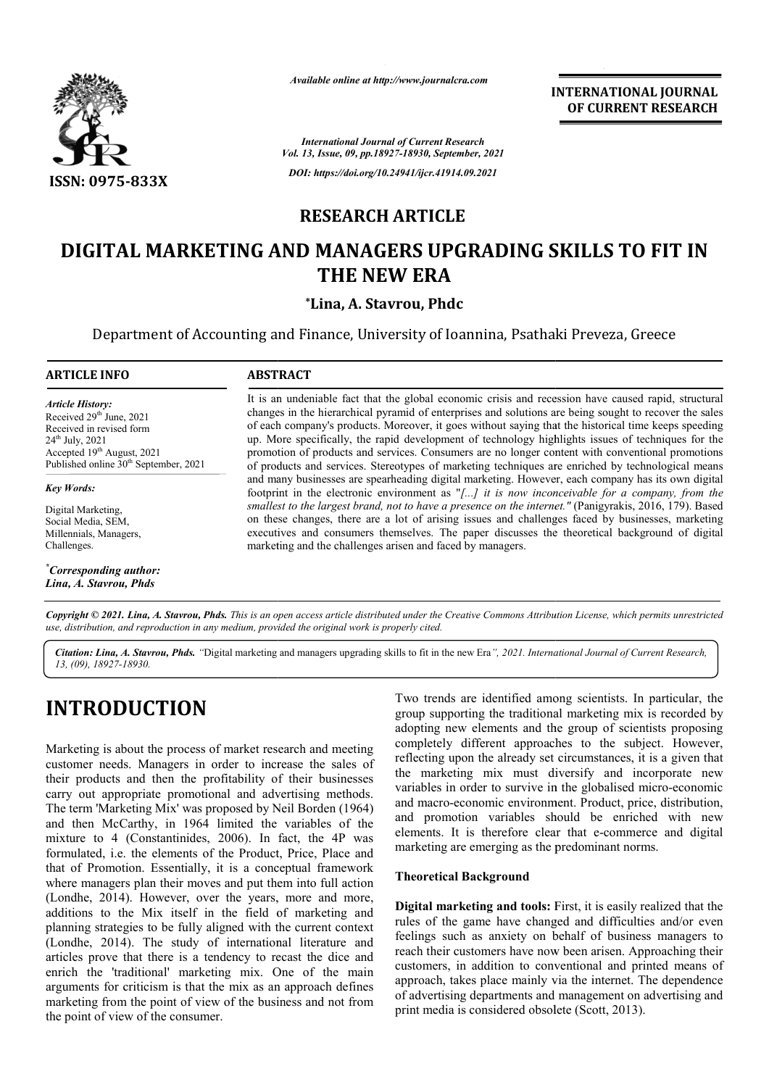

*Available online at http://www.journalcra.com*

**INTERNATIONAL JOURNAL OF CURRENT RESEARCH**

*International Journal of Current Research Vol. 13, Issue, 09, pp.18927-18930, September, 2021 DOI: https://doi.org/10.24941/ijcr.41914.09.2021*

## **RESEARCH ARTICLE**

# **DIGITAL MARKETING AND MANAGERS UPGRADING SKILLS TO FIT IN MARKETING THE NEW ERA**

**\*Lina, A. Stavrou, Phdc**

Department of Accounting and Finance, University of Ioannina, Psathaki Preveza, Greece

### **ARTICLE INFO ABSTRACT**

*Article History: Article History: Article History:* Received  $29<sup>th</sup>$  June,  $2021$ Received in revised form Received in revised form Received  $24<sup>th</sup>$  July,  $2021$ Accepted  $19<sup>th</sup>$  August, 2021 Published online 30<sup>th</sup> September, 2021

*Key Words:* 

Digital Marketing, Social Media, SEM, Millennials, Managers, Challenges.

*\* Corresponding author: Lina, A. Stavrou, Phds*

It is an undeniable fact that the global economic crisis and recession have caused rapid, structural changes in the hierarchical pyramid of enterprises and solutions are being sought to recover the sales of each company's products. Moreover, it goes without saying that the historical time keeps speeding It is an undeniable fact that the global economic crisis and recession have caused rapid, structural changes in the hierarchical pyramid of enterprises and solutions are being sought to recover the sales of each company's promotion of products and services. Consumers are no longer content with conventional promotions of products and services. Stereotypes of marketing techniques are enriched by technological means promotion of products and services. Consumers are no longer content with conventional promotions of products and services. Stereotypes of marketing techniques are enriched by technological means and many businesses are spe footprint in the electronic environment as " *[...] it is now inconceivable for a company, from the*  footprint in the electronic environment as "[...] *it is now inconceivable for a company, from the smallest to the largest brand, not to have a presence on the internet." (Panigyrakis, 2016, 179). Based* on these changes, there are a lot of arising issues and challenges faced by businesses, marketing executives and consumers themselves. The paper discusses the theoretical background of digital executives and consumers themselves. The paper discusses the theoretical background of digital marketing and the challenges arisen and faced by managers.

Copyright © 2021. Lina, A. Stavrou, Phds. This is an open access article distributed under the Creative Commons Attribution License, which permits unrestricted *use, distribution, and reproduction in any medium, provided the original work is properly cited.*

Citation: Lina, A. Stavrou, Phds. "Digital marketing and managers upgrading skills to fit in the new Era", 2021. International Journal of Current Research, *13, (09), 18927-18930.*

# **INTRODUCTION**

Marketing is about the process of market research and meeting customer needs. Managers in order to increase the sales of their products and then the profitability of their businesses carry out appropriate promotional and advertising methods. The term 'Marketing Mix' was proposed by Neil Borden (1964) and then McCarthy, in 1964 limited the variables of the mixture to 4 (Constantinides, 2006). In fact, the 4P was formulated, i.e. the elements of the Product, Price, Place and that of Promotion. Essentially, it is a conceptual framework where managers plan their moves and put them into full action (Londhe, 2014). However, over the years, more and more, additions to the Mix itself in the field of marketing and planning strategies to be fully aligned with the current context (Londhe, 2014). The study of international literature and articles prove that there is a tendency to recast the dice and enrich the 'traditional' marketing mix. One of the main arguments for criticism is that the mix as an approach defines marketing from the point of view of the business and not from the point of view of the consumer. **BUCTION**<br>
For trends are identified among scientists. In particular, the<br>
group supporting the readitional marketing mix is recorded by<br>
adopting new elements and the group of scientists proposing<br>
is about the process of

group supporting the traditional marketing mix is recorded by adopting new elements and the group of scientists proposing completely different approaches to the subject. However, reflecting upon the already set circumstances, it is a given that the marketing mix must diversify and incorporate new group supporting the traditional marketing mix is recorded by adopting new elements and the group of scientists proposing completely different approaches to the subject. However, reflecting upon the already set circumstanc and macro-economic environment. Product, price, distribution, and macro-economic environment. Product, price, distribution, and promotion variables should be enriched with new elements. It is therefore clear that e-commerce and digital marketing are emerging as the predominant norms. INTERNATIONAL JOURNAL<br>
FOR Research<br>
THERNATIONAL JOURNAL<br>
FOR RESEARCH<br>
1.6 September, 2021<br>
1.6, September, 2021<br>
1.6, September, 2021<br>
1.6, September, 2021<br>
1.7, The Section of SKILLIS TO FIT IN<br>
RA<br>
Photo Colonnina, P

## **Theoretical Background**

**Digital marketing and tools:** First, it is easily realized that the **Digital marketing and tools:** First, it is easily realized that the rules of the game have changed and difficulties and/or even feelings such as anxiety on behalf of business managers to feelings such as anxiety on behalf of business managers to reach their customers have now been arisen. Approaching their customers, in addition to conventional and printed means of customers, in addition to conventional and printed means of approach, takes place mainly via the internet. The dependence of advertising departments and management on advertising and print media is considered obsolete (Scott, 2013).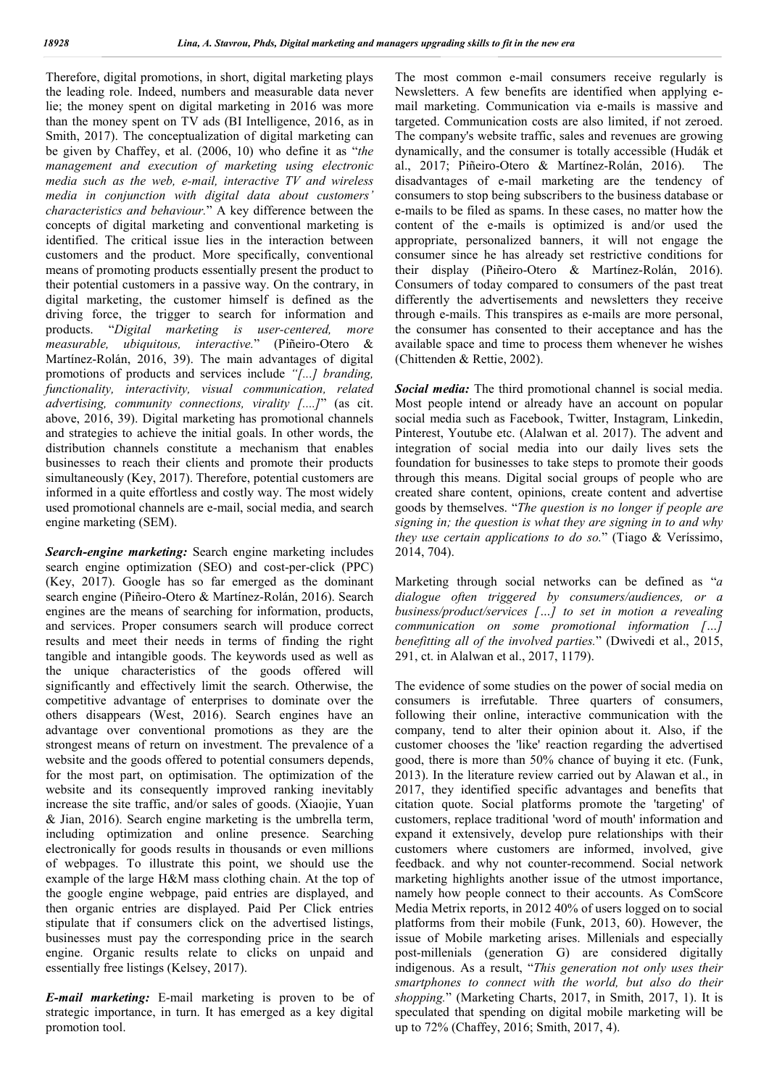Therefore, digital promotions, in short, digital marketing plays the leading role. Indeed, numbers and measurable data never lie; the money spent on digital marketing in 2016 was more than the money spent on TV ads (BI Intelligence, 2016, as in Smith, 2017). The conceptualization of digital marketing can be given by Chaffey, et al. (2006, 10) who define it as "*the management and execution of marketing using electronic media such as the web, e-mail, interactive TV and wireless media in conjunction with digital data about customers' characteristics and behaviour.*" A key difference between the concepts of digital marketing and conventional marketing is identified. The critical issue lies in the interaction between customers and the product. More specifically, conventional means of promoting products essentially present the product to their potential customers in a passive way. On the contrary, in digital marketing, the customer himself is defined as the driving force, the trigger to search for information and products. "*Digital marketing is user-centered, more measurable, ubiquitous, interactive.*" (Piñeiro-Otero & Martínez-Rolán, 2016, 39). The main advantages of digital promotions of products and services include *"[...] branding, functionality, interactivity, visual communication, related advertising, community connections, virality [....]*" (as cit. above, 2016, 39). Digital marketing has promotional channels and strategies to achieve the initial goals. In other words, the distribution channels constitute a mechanism that enables businesses to reach their clients and promote their products simultaneously (Key, 2017). Therefore, potential customers are informed in a quite effortless and costly way. The most widely used promotional channels are e-mail, social media, and search engine marketing (SEM).

*Search-engine marketing:* Search engine marketing includes search engine optimization (SEO) and cost-per-click (PPC) (Key, 2017). Google has so far emerged as the dominant search engine (Piñeiro-Otero & Martínez-Rolán, 2016). Search engines are the means of searching for information, products, and services. Proper consumers search will produce correct results and meet their needs in terms of finding the right tangible and intangible goods. The keywords used as well as the unique characteristics of the goods offered will significantly and effectively limit the search. Otherwise, the competitive advantage of enterprises to dominate over the others disappears (West, 2016). Search engines have an advantage over conventional promotions as they are the strongest means of return on investment. The prevalence of a website and the goods offered to potential consumers depends, for the most part, on optimisation. The optimization of the website and its consequently improved ranking inevitably increase the site traffic, and/or sales of goods. (Xiaojie, Yuan & Jian, 2016). Search engine marketing is the umbrella term, including optimization and online presence. Searching electronically for goods results in thousands or even millions of webpages. To illustrate this point, we should use the example of the large H&M mass clothing chain. At the top of the google engine webpage, paid entries are displayed, and then organic entries are displayed. Paid Per Click entries stipulate that if consumers click on the advertised listings, businesses must pay the corresponding price in the search engine. Organic results relate to clicks on unpaid and essentially free listings (Kelsey, 2017).

*E-mail marketing:* E-mail marketing is proven to be of strategic importance, in turn. It has emerged as a key digital promotion tool.

The most common e-mail consumers receive regularly is Newsletters. A few benefits are identified when applying email marketing. Communication via e-mails is massive and targeted. Communication costs are also limited, if not zeroed. The company's website traffic, sales and revenues are growing dynamically, and the consumer is totally accessible (Hudák et al., 2017; Piñeiro-Otero & Martínez-Rolán, 2016). The disadvantages of e-mail marketing are the tendency of consumers to stop being subscribers to the business database or e-mails to be filed as spams. In these cases, no matter how the content of the e-mails is optimized is and/or used the appropriate, personalized banners, it will not engage the consumer since he has already set restrictive conditions for their display (Piñeiro-Otero & Martínez-Rolán, 2016). Consumers of today compared to consumers of the past treat differently the advertisements and newsletters they receive through e-mails. This transpires as e-mails are more personal, the consumer has consented to their acceptance and has the available space and time to process them whenever he wishes (Chittenden & Rettie, 2002).

*Social media:* The third promotional channel is social media. Most people intend or already have an account on popular social media such as Facebook, Twitter, Instagram, Linkedin, Pinterest, Youtube etc. (Alalwan et al. 2017). The advent and integration of social media into our daily lives sets the foundation for businesses to take steps to promote their goods through this means. Digital social groups of people who are created share content, opinions, create content and advertise goods by themselves. "*The question is no longer if people are signing in; the question is what they are signing in to and why they use certain applications to do so.*" (Tiago & Veríssimo, 2014, 704).

Marketing through social networks can be defined as "*a dialogue often triggered by consumers/audiences, or a business/product/services […] to set in motion a revealing communication on some promotional information […] benefitting all of the involved parties.*" (Dwivedi et al., 2015, 291, ct. in Alalwan et al., 2017, 1179).

The evidence of some studies on the power of social media on consumers is irrefutable. Three quarters of consumers, following their online, interactive communication with the company, tend to alter their opinion about it. Also, if the customer chooses the 'like' reaction regarding the advertised good, there is more than 50% chance of buying it etc. (Funk, 2013). In the literature review carried out by Alawan et al., in 2017, they identified specific advantages and benefits that citation quote. Social platforms promote the 'targeting' of customers, replace traditional 'word of mouth' information and expand it extensively, develop pure relationships with their customers where customers are informed, involved, give feedback. and why not counter-recommend. Social network marketing highlights another issue of the utmost importance, namely how people connect to their accounts. As ComScore Media Metrix reports, in 2012 40% of users logged on to social platforms from their mobile (Funk, 2013, 60). However, the issue of Mobile marketing arises. Millenials and especially post-millenials (generation G) are considered digitally indigenous. As a result, "*This generation not only uses their smartphones to connect with the world, but also do their shopping.*" (Marketing Charts, 2017, in Smith, 2017, 1). It is speculated that spending on digital mobile marketing will be up to 72% (Chaffey, 2016; Smith, 2017, 4).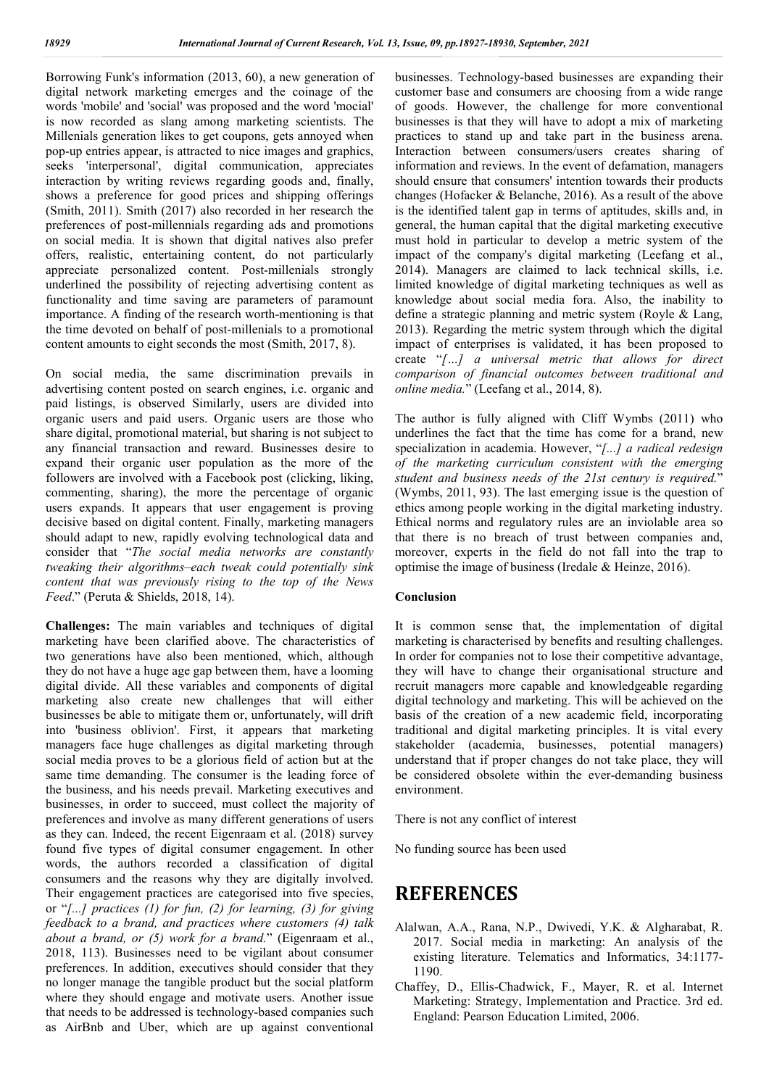Borrowing Funk's information (2013, 60), a new generation of digital network marketing emerges and the coinage of the words 'mobile' and 'social' was proposed and the word 'mocial' is now recorded as slang among marketing scientists. The Millenials generation likes to get coupons, gets annoyed when pop-up entries appear, is attracted to nice images and graphics, seeks 'interpersonal', digital communication, appreciates interaction by writing reviews regarding goods and, finally, shows a preference for good prices and shipping offerings (Smith, 2011). Smith (2017) also recorded in her research the preferences of post-millennials regarding ads and promotions on social media. It is shown that digital natives also prefer offers, realistic, entertaining content, do not particularly appreciate personalized content. Post-millenials strongly underlined the possibility of rejecting advertising content as functionality and time saving are parameters of paramount importance. A finding of the research worth-mentioning is that the time devoted on behalf of post-millenials to a promotional content amounts to eight seconds the most (Smith, 2017, 8).

On social media, the same discrimination prevails in advertising content posted on search engines, i.e. organic and paid listings, is observed Similarly, users are divided into organic users and paid users. Organic users are those who share digital, promotional material, but sharing is not subject to any financial transaction and reward. Businesses desire to expand their organic user population as the more of the followers are involved with a Facebook post (clicking, liking, commenting, sharing), the more the percentage of organic users expands. It appears that user engagement is proving decisive based on digital content. Finally, marketing managers should adapt to new, rapidly evolving technological data and consider that "*The social media networks are constantly tweaking their algorithms–each tweak could potentially sink content that was previously rising to the top of the News Feed*." (Peruta & Shields, 2018, 14).

**Challenges:** The main variables and techniques of digital marketing have been clarified above. The characteristics of two generations have also been mentioned, which, although they do not have a huge age gap between them, have a looming digital divide. All these variables and components of digital marketing also create new challenges that will either businesses be able to mitigate them or, unfortunately, will drift into 'business oblivion'. First, it appears that marketing managers face huge challenges as digital marketing through social media proves to be a glorious field of action but at the same time demanding. The consumer is the leading force of the business, and his needs prevail. Marketing executives and businesses, in order to succeed, must collect the majority of preferences and involve as many different generations of users as they can. Indeed, the recent Eigenraam et al. (2018) survey found five types of digital consumer engagement. In other words, the authors recorded a classification of digital consumers and the reasons why they are digitally involved. Their engagement practices are categorised into five species, or "*[...] practices (1) for fun, (2) for learning, (3) for giving feedback to a brand, and practices where customers (4) talk about a brand, or (5) work for a brand.*" (Eigenraam et al., 2018, 113). Businesses need to be vigilant about consumer preferences. In addition, executives should consider that they no longer manage the tangible product but the social platform where they should engage and motivate users. Another issue that needs to be addressed is technology-based companies such as AirBnb and Uber, which are up against conventional

businesses. Technology-based businesses are expanding their customer base and consumers are choosing from a wide range of goods. However, the challenge for more conventional businesses is that they will have to adopt a mix of marketing practices to stand up and take part in the business arena. Interaction between consumers/users creates sharing of information and reviews. In the event of defamation, managers should ensure that consumers' intention towards their products changes (Hofacker & Belanche, 2016). As a result of the above is the identified talent gap in terms of aptitudes, skills and, in general, the human capital that the digital marketing executive must hold in particular to develop a metric system of the impact of the company's digital marketing (Leefang et al., 2014). Managers are claimed to lack technical skills, i.e. limited knowledge of digital marketing techniques as well as knowledge about social media fora. Also, the inability to define a strategic planning and metric system (Royle & Lang, 2013). Regarding the metric system through which the digital impact of enterprises is validated, it has been proposed to create "*[…] a universal metric that allows for direct comparison of financial outcomes between traditional and online media.*" (Leefang et al., 2014, 8).

The author is fully aligned with Cliff Wymbs (2011) who underlines the fact that the time has come for a brand, new specialization in academia. However, "*[...] a radical redesign of the marketing curriculum consistent with the emerging student and business needs of the 21st century is required.*" (Wymbs, 2011, 93). The last emerging issue is the question of ethics among people working in the digital marketing industry. Ethical norms and regulatory rules are an inviolable area so that there is no breach of trust between companies and, moreover, experts in the field do not fall into the trap to optimise the image of business (Iredale & Heinze, 2016).

#### **Conclusion**

It is common sense that, the implementation of digital marketing is characterised by benefits and resulting challenges. In order for companies not to lose their competitive advantage, they will have to change their organisational structure and recruit managers more capable and knowledgeable regarding digital technology and marketing. This will be achieved on the basis of the creation of a new academic field, incorporating traditional and digital marketing principles. It is vital every stakeholder (academia, businesses, potential managers) understand that if proper changes do not take place, they will be considered obsolete within the ever-demanding business environment.

There is not any conflict of interest

No funding source has been used

## **REFERENCES**

- Alalwan, A.A., Rana, N.P., Dwivedi, Y.K. & Algharabat, R. 2017. Social media in marketing: An analysis of the existing literature. Telematics and Informatics, 34:1177- 1190.
- Chaffey, D., Ellis-Chadwick, F., Mayer, R. et al. Internet Marketing: Strategy, Implementation and Practice. 3rd ed. England: Pearson Education Limited, 2006.